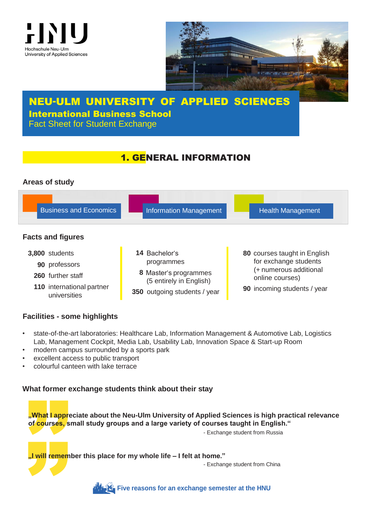



# NEU-ULM UNIVERSITY OF APPLIED SCIENCES International Business School Fact Sheet for Student Exchange

# 1. GENERAL INFORMATION

## **Areas of study**



## **Facilities - some highlights**

- state-of-the-art laboratories: Healthcare Lab, Information Management & Automotive Lab, Logistics Lab, Management Cockpit, Media Lab, Usability Lab, Innovation Space & Start-up Room
- modern campus surrounded by a sports park
- excellent access to public transport
- colourful canteen with lake terrace

## **What former exchange students think about their stay**

modern can<br>excellent ac<br>colourful can<br>**Vhat former**<br>**Mat Lapprof courses,** s What former<br>"What I approf<br>courses, s<br>"I will remem **"What I appreciate about the Neu-Ulm University of Applied Sciences is high practical relevance of courses, small study groups and a large variety of courses taught in English."**

- Exchange student from Russia

**"I will remember this place for my whole life – I felt at home."**

- Exchange student from China



**Five reasons for an [exchange](https://www.hnu.de/en/international/international-exchange-students/why-neu-ulm-and-the-hnu) semester at the HNU**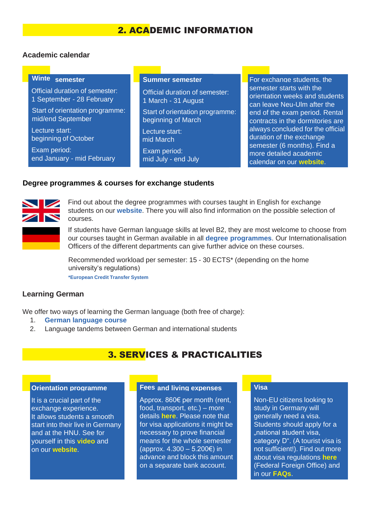# 2. ACADEMIC INFORMATION

### **Academic calendar**

### **Winte** semester

Official duration of semester: 1 September - 28 February

Start of orientation programme: mid/end September

Lecture start: beginning of October

Exam period: end January - mid February

Official duration of semester: 1 March - 31 August Start of orientation programme: beginning of March

Lecture start: mid March

Exam period: mid July - end July

**Summer semester For exchange students, the** semester starts with the orientation weeks and students can leave Neu-Ulm after the end of the exam period. Rental contracts in the dormitories are always concluded for the official duration of the exchange semester (6 months). Find a more detailed academic calendar on our **[website](https://www.hnu.de/en/international/international-exchange-students/application)**.

#### **Degree programmes & courses for exchange students**



Find out about the degree programmes with courses taught in English for exchange students on our **[website](https://www.hnu.de/en/international/international-exchange-students/courses-taught-in-english)**. There you will also find information on the possible selection of courses.

If students have German language skills at level B2, they are most welcome to choose from our courses taught in German available in all **degree [programmes](https://www.hnu.de/en/studies/study-programmes)**. Our Internationalisation Officers of the different departments can give further advice on these courses.

Recommended workload per semester: 15 - 30 ECTS\* (depending on the home university's regulations) **[\\*European](https://ec.europa.eu/education/resources-and-tools/european-credit-transfer-and-accumulation-system-ects_en) Credit Transfer System**

### **Learning German**

We offer two ways of learning the German language (both free of charge):

- 1. **[German language course](https://www.hnu.de/en/international/international-exchange-students/courses-taught-in-english/german-language-courses)**
- 2. Language tandems between German and international students

## 3. SERVICES & PRACTICALITIES

#### **Orientation programme**

It is a crucial part of the exchange experience. It allows students a smooth start into their live in Germany and at the HNU. See for yourself in this **[video](https://www.youtube.com/watch?v=CD8iIIBRxFY&list=PLmbd64gCumb0gkHvOhqLyLFM-IcE8dhEZ&index=7&t=0s)** and on our **[website](https://www.hnu.de/en/international/international-exchange-students/orientation-programme)**.

#### **and living expenses Fees**

Approx. 860€ per month (rent, food, transport, etc.) – more details **[here](https://www.hnu.de/en/international/international-exchange-students/frequently-asked-questions?no_cache=1&c1016693)**. Please note that for visa applications it might be necessary to prove financial means for the whole semester (approx. 4.300 – 5.200€) in advance and block this amount on a separate bank account.

#### **Visa**

Non-EU citizens looking to study in Germany will generally need a visa. Students should apply for a "national student visa, category D". (A tourist visa is not sufficient!). Find out more about visa regulations **[here](https://www.auswaertiges-amt.de/en/einreiseundaufenthalt/visabestimmungen-node)** (Federal Foreign Office) and in our **[FAQs](https://www.hnu.de/en/international/international-exchange-students/frequently-asked-questions?no_cache=1&c1010818)**.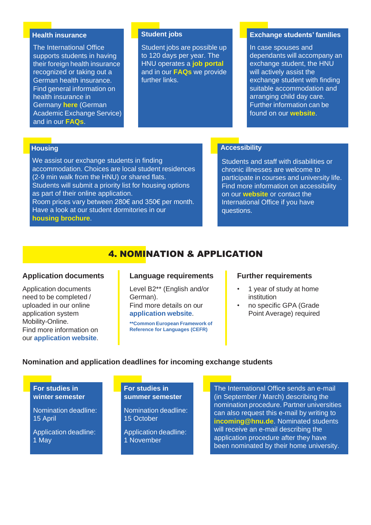#### **Health insurance**

The International Office supports students in having their foreign health insurance recognized or taking out a German health insurance. Find general information on health insurance in Germany **[here](https://www.daad.de/en/study-and-research-in-germany/plan-your-studies/health-insurance/)** (German Academic Exchange Service) and in our **[FAQs](https://www.hnu.de/en/international/international-exchange-students/frequently-asked-questions?no_cache=1&c1016704)**.

#### **Student jobs**

Student jobs are possible up to 120 days per year. The HNU operates a **[job portal](https://jobboerse.hs-neu-ulm.de/index.php/en)** and in our **[FAQs](https://www.hnu.de/en/international/international-exchange-students/frequently-asked-questions?no_cache=1&c1016697)** we provide further links.

#### **Exchange students' families**

In case spouses and dependants will accompany an exchange student, the HNU will actively assist the exchange student with finding suitable accommodation and arranging child day care. Further information can be found on our **[website](https://www.hnu.de/en/hnu/facilities-and-services/family-service-office-bizeps/study-and-work-with-child)**.

## **Housing**

We assist our exchange students in finding accommodation. Choices are local student residences (2-9 min walk from the HNU) or shared flats. Students will submit a priority list for housing options as part of their online application. Room prices vary between 280€ and 350€ per month. Have a look at our student dormitories in our

**[housing brochure](https://www.hnu.de/fileadmin/user_upload/5_Internationales/International_Incomings/Bewerbung/Housing_Broschure.pdf)**.

## **Accessibility**

Students and staff with disabilities or chronic illnesses are welcome to participate in courses and university life. Find more information on accessibility on our **[website](https://www.hnu.de/en/studies/service-and-advice-offers/studying-in-special-situations-in-life/studying-with-disabilities)** or contact the International Office if you have questions.

# 4. NOMINATION & APPLICATION

### **Application documents**

Application documents need to be completed / uploaded in our online application system Mobility-Online. Find more information on our **[application](https://www.hnu.de/en/international/international-exchange-students/application) website**.

#### **Language requirements**

Level B2\*\* (English and/or German). Find more details on our **[application](https://www.hnu.de/en/international/international-exchange-students/application) website**.

**\*\*Common European [Framework](https://www.coe.int/en/web/common-european-framework-reference-languages/table-1-cefr-3.3-common-reference-levels-global-scale) of [Reference for Languages \(CEFR\)](https://www.coe.int/en/web/common-european-framework-reference-languages/table-1-cefr-3.3-common-reference-levels-global-scale)**

#### **Further requirements**

- 1 year of study at home institution
- no specific GPA (Grade Point Average) required

## **Nomination and application deadlines for incoming exchange students**

**For studies in winter semester**

Nomination deadline: 15 April

Application deadline: 1 May

### **For studies in summer semester**

Nomination deadline: 15 October

Application deadline: 1 November

The International Office sends an e-mail (in September / March) describing the nomination procedure. Partner universities can also request this e-mail by writing to **[incoming@hnu.de](mailto:incoming@hnu.de)**. Nominated students will receive an e-mail describing the application procedure after they have been nominated by their home university.